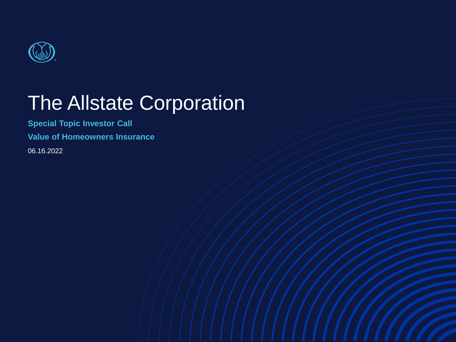

# The Allstate Corporation

06.16.2022 **Special Topic Investor Call Value of Homeowners Insurance**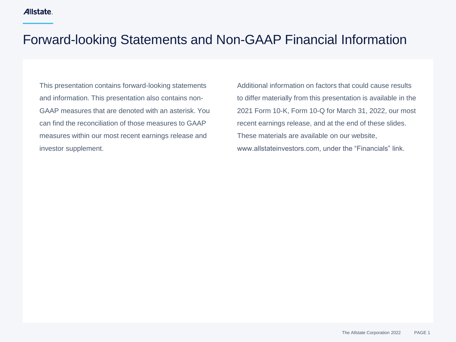### Forward-looking Statements and Non-GAAP Financial Information

This presentation contains forward-looking statements and information. This presentation also contains non-GAAP measures that are denoted with an asterisk. You can find the reconciliation of those measures to GAAP measures within our most recent earnings release and investor supplement.

Additional information on factors that could cause results to differ materially from this presentation is available in the 2021 Form 10-K, Form 10-Q for March 31, 2022, our most recent earnings release, and at the end of these slides. These materials are available on our website, www.allstateinvestors.com, under the "Financials" link.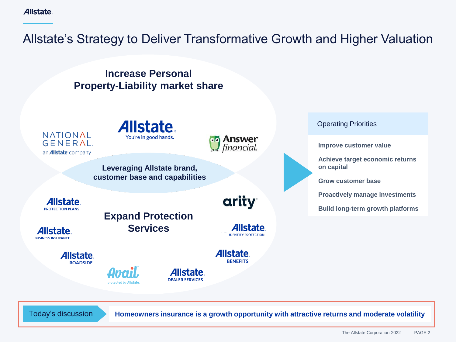### Allstate's Strategy to Deliver Transformative Growth and Higher Valuation

**Increase Personal Property-Liability market share**



Today's discussion **Homeowners insurance is a growth opportunity with attractive returns and moderate volatility**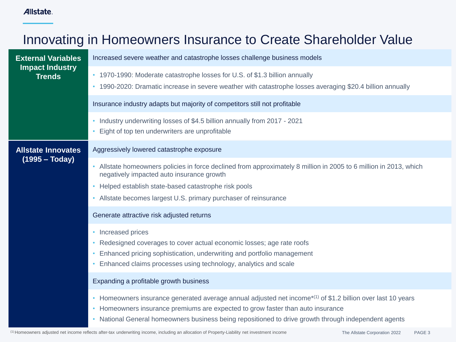### Innovating in Homeowners Insurance to Create Shareholder Value

| <b>External Variables</b>               | Increased severe weather and catastrophe losses challenge business models                                                                                                                                                                                                                                          |
|-----------------------------------------|--------------------------------------------------------------------------------------------------------------------------------------------------------------------------------------------------------------------------------------------------------------------------------------------------------------------|
| <b>Impact Industry</b><br><b>Trends</b> | • 1970-1990: Moderate catastrophe losses for U.S. of \$1.3 billion annually<br>• 1990-2020: Dramatic increase in severe weather with catastrophe losses averaging \$20.4 billion annually                                                                                                                          |
|                                         | Insurance industry adapts but majority of competitors still not profitable                                                                                                                                                                                                                                         |
|                                         | • Industry underwriting losses of \$4.5 billion annually from 2017 - 2021<br>Eight of top ten underwriters are unprofitable                                                                                                                                                                                        |
| <b>Allstate Innovates</b>               | Aggressively lowered catastrophe exposure                                                                                                                                                                                                                                                                          |
| (1995 – Today)                          | • Allstate homeowners policies in force declined from approximately 8 million in 2005 to 6 million in 2013, which<br>negatively impacted auto insurance growth<br>Helped establish state-based catastrophe risk pools<br>• Allstate becomes largest U.S. primary purchaser of reinsurance                          |
|                                         | Generate attractive risk adjusted returns                                                                                                                                                                                                                                                                          |
|                                         | • Increased prices<br>Redesigned coverages to cover actual economic losses; age rate roofs<br>Enhanced pricing sophistication, underwriting and portfolio management<br>Enhanced claims processes using technology, analytics and scale                                                                            |
|                                         | Expanding a profitable growth business                                                                                                                                                                                                                                                                             |
|                                         | • Homeowners insurance generated average annual adjusted net income <sup>*(1)</sup> of \$1.2 billion over last 10 years<br>• Homeowners insurance premiums are expected to grow faster than auto insurance<br>• National General homeowners business being repositioned to drive growth through independent agents |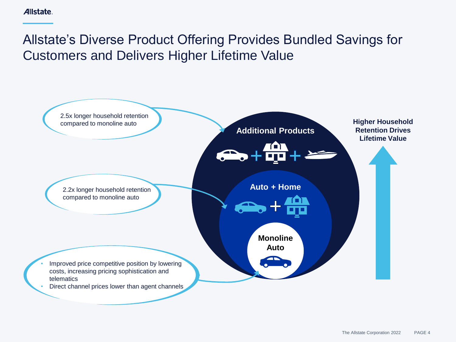# Allstate's Diverse Product Offering Provides Bundled Savings for Customers and Delivers Higher Lifetime Value

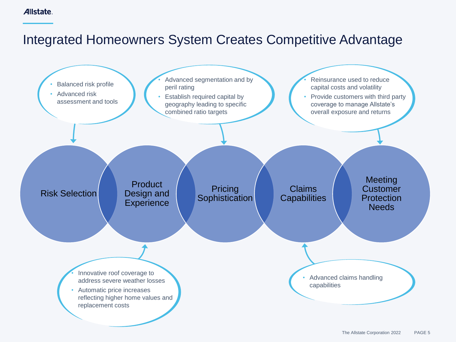### Integrated Homeowners System Creates Competitive Advantage

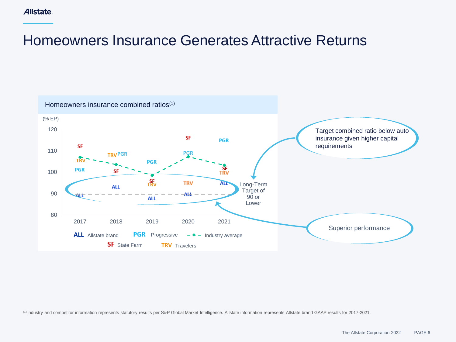# Homeowners Insurance Generates Attractive Returns



(1) Industry and competitor information represents statutory results per S&P Global Market Intelligence. Allstate information represents Allstate brand GAAP results for 2017-2021.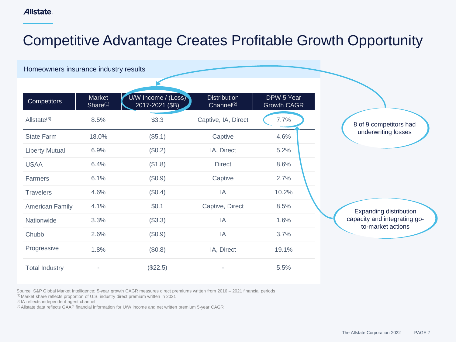# Competitive Advantage Creates Profitable Growth Opportunity



Source: S&P Global Market Intelligence; 5-year growth CAGR measures direct premiums written from 2016 – 2021 financial periods (1) Market share reflects proportion of U.S. industry direct premium written in 2021

(2) IA reflects independent agent channel

(3) Allstate data reflects GAAP financial information for U/W income and net written premium 5-year CAGR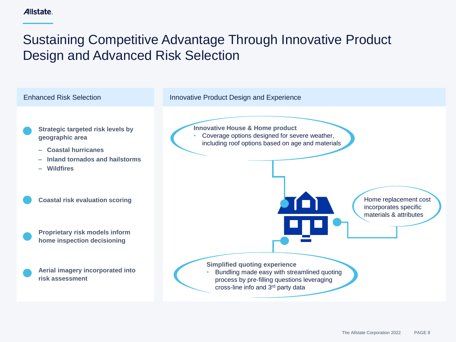# Sustaining Competitive Advantage Through Innovative Product Design and Advanced Risk Selection

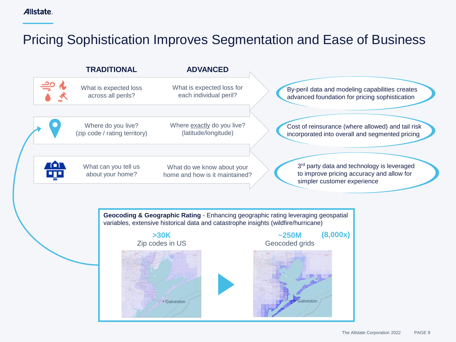# Pricing Sophistication Improves Segmentation and Ease of Business

| <b>TRADITIONAL</b>                                  | <b>ADVANCED</b>                                                                    |                                                                                                                        |
|-----------------------------------------------------|------------------------------------------------------------------------------------|------------------------------------------------------------------------------------------------------------------------|
| What is expected loss<br>across all perils?         | What is expected loss for<br>each individual peril?                                | By-peril data and modeling capabilities creates<br>advanced foundation for pricing sophistication                      |
| Where do you live?<br>(zip code / rating territory) | Where exactly do you live?<br>(latitude/longitude)                                 | Cost of reinsurance (where allowed) and tail risk<br>incorporated into overall and segmented pricing                   |
| What can you tell us<br>about your home?            | What do we know about your<br>home and how is it maintained?                       | 3rd party data and technology is leveraged<br>to improve pricing accuracy and allow for<br>simpler customer experience |
|                                                     | variables, extensive historical data and catastrophe insights (wildfire/hurricane) | Geocoding & Geographic Rating - Enhancing geographic rating leveraging geospatial                                      |
|                                                     | >30K<br>Zip codes in US                                                            | (8,000x)<br>$\sim$ 250M<br>Geocoded grids                                                                              |
|                                                     | · Galveston                                                                        | Galveston                                                                                                              |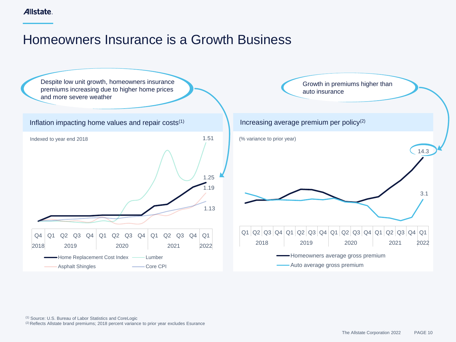### Homeowners Insurance is a Growth Business



(1) Source: U.S. Bureau of Labor Statistics and CoreLogic (2) Reflects Allstate brand premiums; 2018 percent variance to prior year excludes Esurance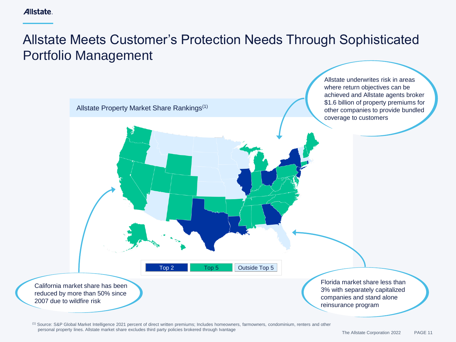# Allstate Meets Customer's Protection Needs Through Sophisticated Portfolio Management



(1) Source: S&P Global Market Intelligence 2021 percent of direct written premiums; Includes homeowners, farmowners, condominium, renters and other personal property lines. Allstate market share excludes third party policies brokered through Ivantage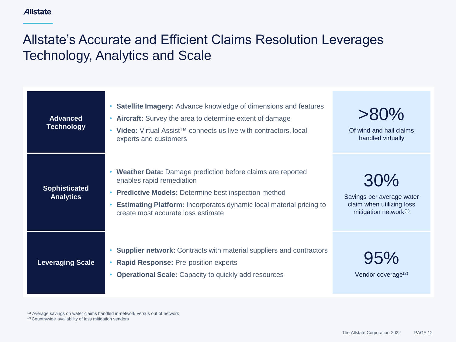# Allstate's Accurate and Efficient Claims Resolution Leverages Technology, Analytics and Scale

| <b>Advanced</b><br><b>Technology</b>     | <b>Satellite Imagery:</b> Advance knowledge of dimensions and features<br>$\bullet$<br>• Aircraft: Survey the area to determine extent of damage<br>Video: Virtual Assist™ connects us live with contractors, local<br>$\bullet$<br>experts and customers              | $>80\%$<br>Of wind and hail claims<br>handled virtually                                            |
|------------------------------------------|------------------------------------------------------------------------------------------------------------------------------------------------------------------------------------------------------------------------------------------------------------------------|----------------------------------------------------------------------------------------------------|
| <b>Sophisticated</b><br><b>Analytics</b> | • Weather Data: Damage prediction before claims are reported<br>enables rapid remediation<br>• Predictive Models: Determine best inspection method<br><b>Estimating Platform:</b> Incorporates dynamic local material pricing to<br>create most accurate loss estimate | 30%<br>Savings per average water<br>claim when utilizing loss<br>mitigation network <sup>(1)</sup> |
| <b>Leveraging Scale</b>                  | • Supplier network: Contracts with material suppliers and contractors<br>• Rapid Response: Pre-position experts<br><b>Operational Scale:</b> Capacity to quickly add resources                                                                                         | 95%<br>Vendor coverage $^{(2)}$                                                                    |

(1) Average savings on water claims handled in-network versus out of network (2) Countrywide availability of loss mitigation vendors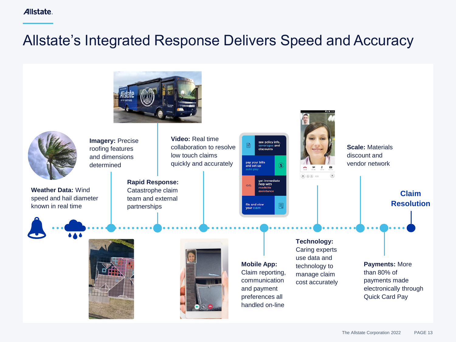# Allstate's Integrated Response Delivers Speed and Accuracy

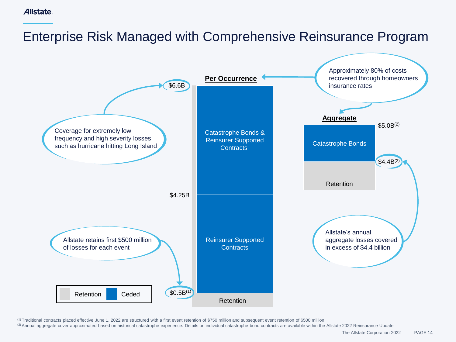# Enterprise Risk Managed with Comprehensive Reinsurance Program



(1) Traditional contracts placed effective June 1, 2022 are structured with a first event retention of \$750 million and subsequent event retention of \$500 million

 $^{(2)}$  Annual aggregate cover approximated based on historical catastrophe experience. Details on individual catastrophe bond contracts are available within the Allstate 2022 Reinsurance Update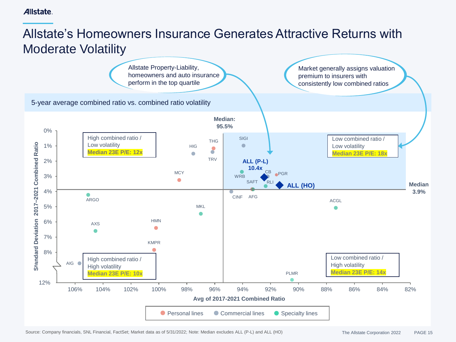### Allstate's Homeowners Insurance Generates Attractive Returns with Moderate Volatility



Source: Company financials, SNL Financial, FactSet; Market data as of 5/31/2022; Note: Median excludes ALL (P-L) and ALL (HO)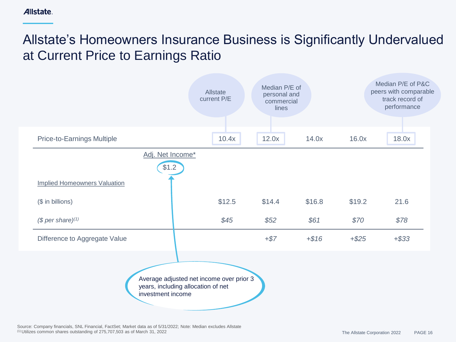# Allstate's Homeowners Insurance Business is Significantly Undervalued at Current Price to Earnings Ratio

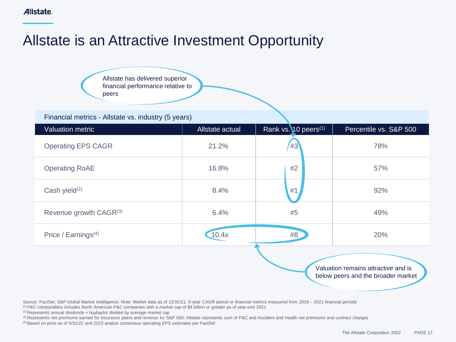# Allstate is an Attractive Investment Opportunity

Allstate has delivered superior financial performance relative to peers

Financial metrics - Allstate vs. industry (5 years)

| <b>Valuation metric</b>                                                   | Allstate actual | Rank vs. 10 peers <sup>(1)</sup> | Percentile vs. S&P 500 |  |  |  |
|---------------------------------------------------------------------------|-----------------|----------------------------------|------------------------|--|--|--|
| <b>Operating EPS CAGR</b>                                                 | 21.2%           | #3                               | 78%                    |  |  |  |
| <b>Operating RoAE</b>                                                     | 16.8%           | #2                               | 57%                    |  |  |  |
| Cash yield <sup>(2)</sup>                                                 | 8.4%            | #1                               | 92%                    |  |  |  |
| Revenue growth CAGR(3)                                                    | 6.4%            | #5                               | 49%                    |  |  |  |
| Price / Earnings <sup>(4)</sup>                                           | 10.4x           | #8                               | 20%                    |  |  |  |
| Valuation remains attractive and is<br>below peers and the broader market |                 |                                  |                        |  |  |  |

Source: FactSet; S&P Global Market Intelligence; Note: Market data as of 12/31/21; 5-year CAGR period or financial metrics measured from 2016 – 2021 financial periods

(1) P&C comparables includes North American P&C companies with a market cap of \$4 billion or greater as of year-end 2021

(2) Represents annual dividends + buybacks divided by average market cap

<sup>(3)</sup> Represents net premiums earned for Insurance peers and revenue for S&P 500; Allstate represents sum of P&C and Accident and Health net premiums and contract charges (4) Based on price as of 5/31/22 and 2023 analyst consensus operating EPS estimates per FactSet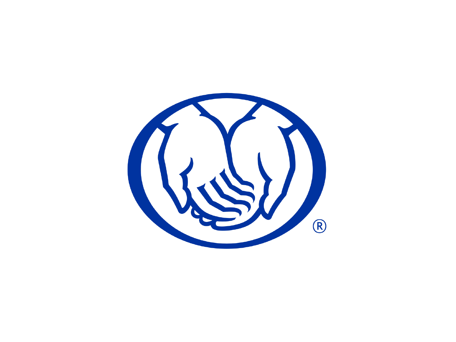